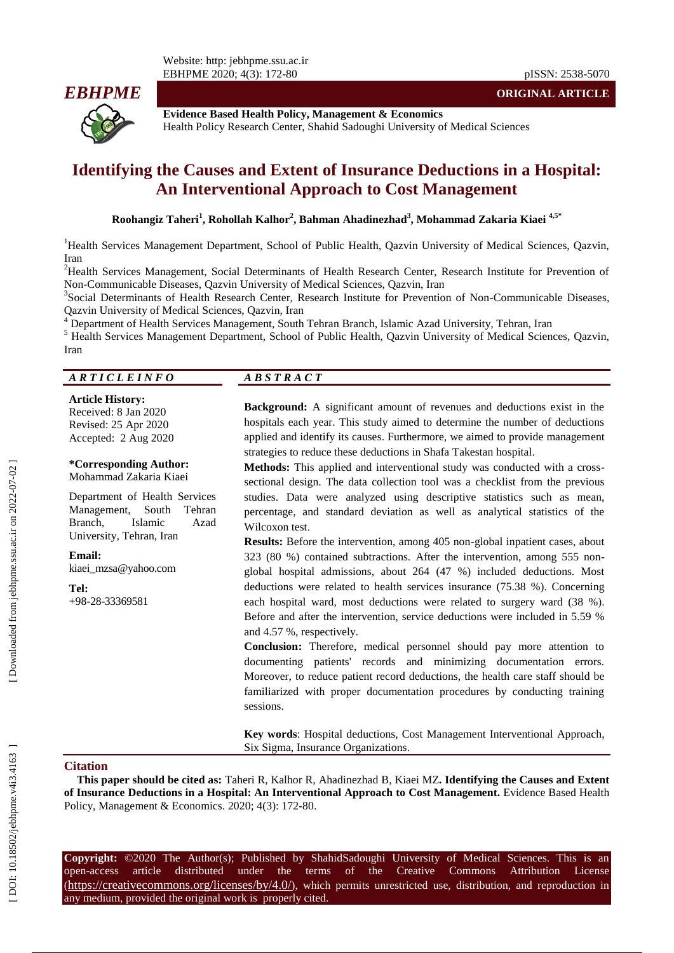Website: http: jebhpme.ssu.ac.ir EBHPME 2020; 4( 3): 172



**Evidence Based Health Policy, Management & Economics** Health Policy Research Center, Shahid Sadoughi University of Medical Sciences

# **Identifying the Causes and Extent of Insurance Deductions in a Hospital: An Interventional Approach to Cost Management**

 $\mathbf{R}$ oohangiz Taheri<sup>1</sup>, Rohollah Kalhor<sup>2</sup>, Bahman Ahadinezhad<sup>3</sup>, Mohammad Zakaria Kiaei <sup>4,5\*</sup>

<sup>1</sup>Health Services Management Department, School of Public Health, Qazvin University of Medical Sciences, Qazvin,

Iran<br><sup>2</sup>Health Services Management, Social Determinants of Health Research Center, Research Institute for Prevention of Non [-Communicable Diseases, Qazvin University of Medical Sciences, Qazvin, Iran](javascript:void\(0\))

<sup>3</sup>Social Determinants of Health Research Center, Research Institute for Prevention of Non-Communicable Diseases,

Qazvin University of Medical Sciences, Qazvin, Iran<br><sup>4</sup> Department of Health Services Management, South Tehran Branch, Islamic Azad University, Tehran, Iran<br><sup>5</sup> Health Services Management Department, School of Public Healt Iran

#### *A R T I C L E I N F O A B S T R A C T*

#### **Article History:**

Received: 8 J an 2020 Revised: 25 Apr 2020 Accepted: 2 Aug 2020

#### **\*Corresponding Author:** Mohammad Zakaria Kiaei

Department of Health Services Management, South Tehran<br>Branch, Islamic Azad Branch, Islamic University, Tehran, Iran

#### **Email:** [kiaei\\_mzsa@yahoo.com](mailto:kiaei_mzsa@yahoo.com)

**Tel:** +98 -28 -33369581

**Background:** A significant amount of revenues and deductions exist in the hospitals each year. This study aimed to determine the number of deductions applied and identify its causes. Furthermore, we aimed to provide management strategies to reduce these deductions in Shafa Takestan hospital .

**Methods:** This applied and interventional study was conducted with a cross sectional design. The data collection tool was a checklist from the previous studies. Data were analyzed using descriptive statistics such as mean, percentage, and standard deviation as well as analytical statistics of the Wilcoxon test .

**Results:** Before the intervention, among 405 non -global inpatient cases, about 323 (80 %) contained subtractions. After the intervention, among 555 non global hospital admissions, about 264 (47 %) included deductions. Most deductions were related to health services insurance (75.38 % ). Concerning each hospital ward, most deductions were related to surgery ward (38 %) . Before and after the intervention, service deductions were included in 5.59 % and 4.57 %, respectively.

**Conclusion :** Therefore, medical personnel should pay more attention to documenting patients' records and minimizing documentation errors. Moreover, to reduce patient record deductions, the health care staff should be familiarized with proper documentation procedures by conducting training sessions.

**Key words**: Hospital deductions, Cost Management Interventional Approach , Six Sigma , Insurance Organizations .

#### **Citation**

**This paper should be cited as:** Taheri R, Kalhor R, Ahadinezhad B, Kiaei M Z**. Identifying the Causes and Extent of Insurance Deductions in a Hospital: An Interventional Approach to Cost Management .** Evidence Based Health Policy, Management & Economics. 2020; 4(3): 172-80.

**Copyright:** ©2020 The Author(s); Published by ShahidSadoughi University of Medical Sciences. This is an open-access -access article distributed under the terms of the Creative Commons Attribution License (https://creativecommons.org/licenses/by/4.0/), which permits unrestricted use, distribution, and reproduction in any medium, provided the original work is properly cited.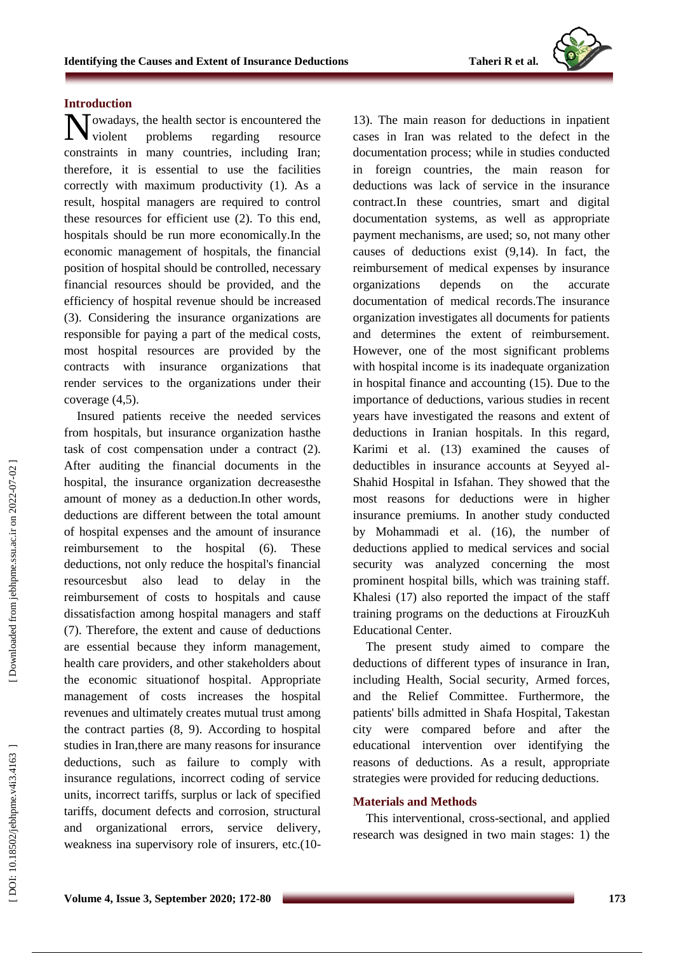## **Introduction**

owadays, the health sector is encountered the Nowadays, the health sector is encountered the<br>
violent problems regarding resource constraints in many countries, including Iran; therefore , it is essential to use the facilities correctly with maximum productivity (1). As a result, hospital managers are required to control these resources for efficient use (2). To this end, hospitals should be run more economically. In the economic management of hospitals, the financial position of hospital should be controlled, necessary financial resources should be provided, and the efficiency of hospital revenue should be increased (3). Considering the insurance organizations are responsible for paying a part of the medical costs, most hospital resources are provided by the contract s with insurance organizations that render services to the organizations under their coverage (4,5).

Insured patients receive the needed services from hospitals, but insurance organization hasthe task of cost compensation under a contract (2). After auditing the financial documents in the hospital, the insurance organization decrease sthe amount of money as a deduction.In other words, deductions are different between the total amount of hospital expenses and the amount of insurance reimbursement to the hospital (6). These deductions, not only reduc e the hospital's financial resourcesbut also lead to delay in the reimbursement of costs to hospitals and cause dissatisfaction among hospital managers and staff (7). Therefore, the extent and cause of deductions are essential because they inform management, health care providers , and other stakeholders about the economic situationof hospital. Appropriate management of costs increases the hospital revenues and ultimately create s mutual trust among the contract parties ( 8, 9). According to hospital studies in Iran, there are many reasons for insurance deductions , such as failure to comply with insurance regulations, incorrect coding of service units, incorrect tariffs, surplus or lack of specified tariffs, document defects and corrosion, structural and organizational errors, service delivery, weakness ina supervisory role of insurers, etc.(10 -

13). The main reason for deductions in inpatient cases in Iran was related to the defect in the documentation process ; while in studies conducted in foreign countries, the main reason for deductions was lack of service in the insurance contract .In these countries, smart and digital documentation systems, as well as appropriate payment mechanisms , are used; so, not many other causes of deductions exist ( 9,14). In fact, the reimbursement of medical expenses by insurance organization depends on the accurate documentation of medical records.The insurance organization investigate s all documents for patient s and determines the extent of reimbursement. However, one of the most significant problems with hospital income is its inadequate organization in hospital finance and accounting (15). Due to the importance of deductions, various studies in recent years have investigated the reasons and extent of deductions in Iranian hospitals. In this regard, Karimi et al . (1 3 ) examined the causes of deductibles in insurance accounts at Seyyed al - Shahid Hospital in Isfahan. They showed that the most reasons for deductions were in higher insurance premiums. In another study conducted by Mohammadi et al. (1 6 ), the number of deductions applied to medical services and social security was analyzed concerning the most prominent hospital bills, which was training staff. Khalesi (17) also reported the impact of the staff training program s on the deductions at FirouzKuh Educational Center.

The present study aimed to compare the deductions of different types of insurance in Iran, including Health, Social security, Armed forces , and the Relief Committee. Furthermore, the patients' bil l s admitted in Shafa Hospital , Takestan city were compared before and after the educational intervention over identifying the reasons of deductions. As a result, appropriate strategies were provided for reducing deductions.

#### **Materials and Methods**

This interventional , cross -sectional , and applied research was designed in two main stages: 1) the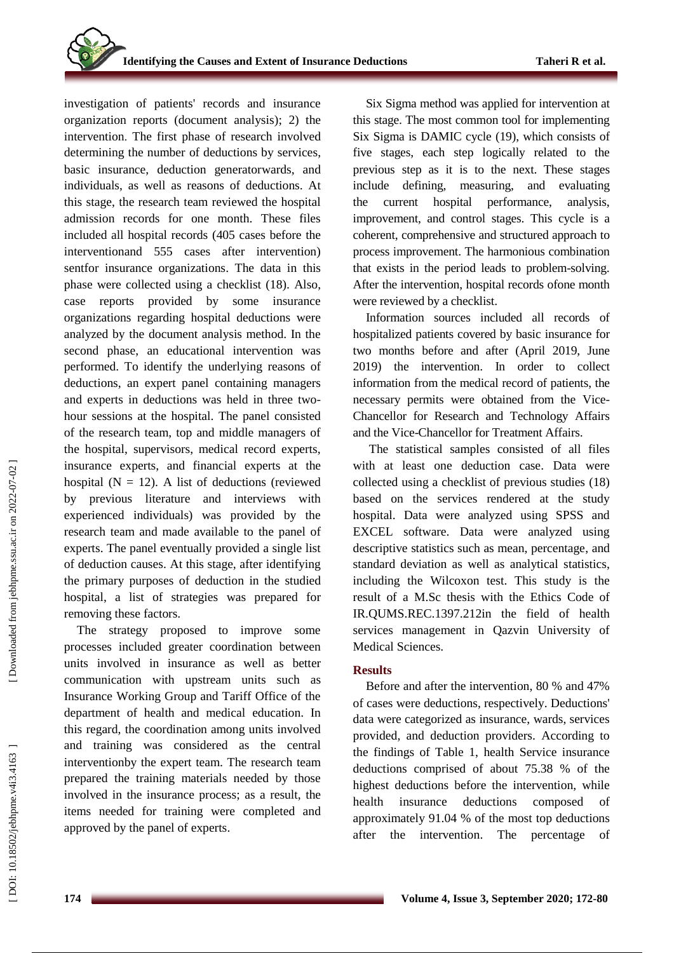investigation of patients' records and insurance organization reports (document analysis ); 2) the intervention . The first phase of research involved determining the number of deductions by service s, basic insurance, deduction generatorwards, and individuals, as well as reasons of deductions. At this stage, the research team reviewed the hospital admission records for one month. These files included all hospital records (405 cases before the interventionand 555 cases after intervention) sentfor insurance organizations. The data in this phase were collected using a checklist (1 8). Also, case reports provided by some insurance organizations regarding hospital deductions were analyzed by the document analysis method. In the second phase, an educational intervention was performed. To identify the underlying reasons of deductions, an expert panel containing managers and experts in deductions was held in t hree two hour sessions at the hospital. The panel consisted of the research team, top and middle managers of the hospital, supervisors, medical record experts, insurance experts, and financial experts at the hospital  $(N = 12)$ . A list of deductions (reviewed by previous literature and interviews with experienced individuals) was provided by the research team and made available to the panel of experts . The panel eventually provided a single list of deduction causes . At this stage, after identifying the primary purposes of deduction in the studied hospital, a list of strategies was prepared for removing these factors.

The strategy proposed to improve some processes included greater coordination between units involved in insurance as well as better communication with upstream units such as Insurance Working Group and Tariff Office of the department of health and medical education. In this regard, the coordination among units involved and training was considered as the central interventionby the expert team. The research team prepared the training materials needed by those involved in the insurance process; as a result, the items needed for training were completed and approved by the panel of experts .

Six Sigma method was applied for intervention at this stage. The most common tool for implementing Six Sigma is DAMIC cycle (19), which consist s of five stages, each step logically related to the previous step as it is to the next. These stages include defining, measuring , and evaluating the current hospital performance, analysis, improvement, and control stages. This cycle is a coherent , comprehensive and structured approach to process improvement. The harmonious combination that exists in the period leads to problem -solving. After the intervention, hospital records ofone month were reviewed by a checklist.

Information sources included all records of hospitalized patients covered by basic insurance for two months before and after (April 2019, June 2019) the intervention. In order to collect information from the medical record of patients, the necessary permits were obtained from the Vice - Chancellor for Research and Technology Affairs and the Vice -Chancellor for Treatment Affairs.

The statistical sample s consisted of all files with at least one deduction case . Data were collected using a checklist of previous studies (18) based on the services rendered at the study hospital. Data were analyzed using SPSS and EXCEL software. Data were analyzed using descriptive statistics such as mean, percentage , and standard deviation as well as analytical statistics , including the Wilcoxon test. This study is the result of a M.Sc thesis with the Ethics Code of IR.QUMS.REC.1397 .212in the field of health service s management in Qazvin University of Medical Sciences.

#### **Results**

Before and after the intervention , 80 % and 47% of cases were deductions, respectively. Deductions' data were categorized as insurance, wards, services provided, and deduction providers. According to the findings of Table 1, health Service insurance deductions comprised of about 75.38 % of the highest deductions before the intervention, while health insurance deductions composed of approximately 91.04 % of the most top deductions after the intervention. The percentage of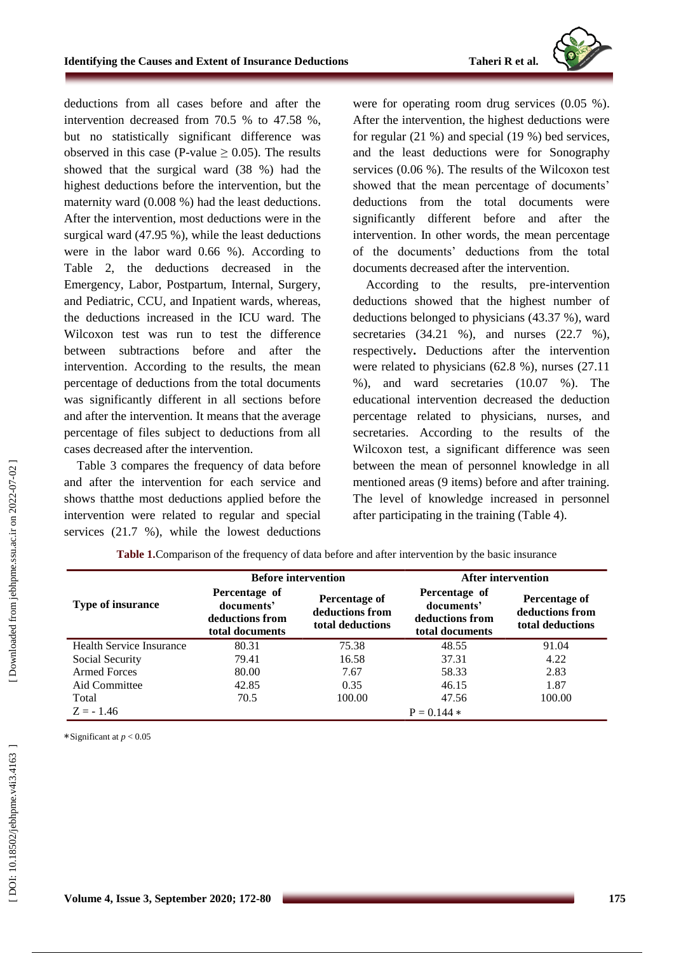

deductions from all cases before and after the intervention decreased from 70.5 % to 47.58 % , but no statistically significant difference was observed in this case (P-value  $\geq$  0.05). The results showed that the surgical ward (38 % ) had the highest deductions before the intervention, but the maternity ward (0.008 % ) had the least deductions. After the intervention , most deductions were in the surgical ward (47.95 %), while the least deductions were in the labor ward 0.66 %). According to Table 2, the deductions decreased in the Emergency, Labor, Postpartum, Internal, Surgery, and Pediatric, CCU, and Inpatient wards, whereas, the deductions increased in the ICU ward. The Wilcoxon test was run to test the difference between subtractions before and after the intervention. According to the results, the mean percentage of deductions from the total documents was significantly different in all sections before and after the intervention. It means that the average percentage of files subject to deductions from all cases decreased after the intervention.

Table 3 compares the frequency of data before and after the intervention for each service and shows thatthe most deductions applied before the intervention were relate d to regular and special services (21.7 % ), while the lowest deductions

were for operating room drug service s (0.05 %). After the intervention, the highest deductions were for regular (21 %) and special (19 %) bed services, and the least deductions were for Sonography services (0.06 %). The results of the Wilcoxon test showed that the mean percentage of documents' deductions from the total documents were significantly different before and after the intervention. In other words, the mean percentage of the documents' deductions from the total documents decreased after the intervention.

According to the results, pre -intervention deductions showed that the highest number of deductions belonged to physicians (43.37 %), ward secretaries (34.21 %), and nurses (22.7 %), respectively **.** Deductions after the intervention were related to physicians (62.8 %), nurses (27.11 %) , and ward secretaries (10.07 %). The educational intervention decreased the deduction percentage related to physicians, nurses, and secretaries. According to the results of the Wilcoxon test, a significant difference was seen between the mean of personnel knowledge in all mentioned areas (9 items) before and after training. The level of knowledge increased in personnel after participating in the training (Table 4).

|                          | <b>Before intervention</b>                                        |                                                      | After intervention                                                |                                                      |  |
|--------------------------|-------------------------------------------------------------------|------------------------------------------------------|-------------------------------------------------------------------|------------------------------------------------------|--|
| <b>Type of insurance</b> | Percentage of<br>documents'<br>deductions from<br>total documents | Percentage of<br>deductions from<br>total deductions | Percentage of<br>documents'<br>deductions from<br>total documents | Percentage of<br>deductions from<br>total deductions |  |
| Health Service Insurance | 80.31                                                             | 75.38                                                | 48.55                                                             | 91.04                                                |  |
| Social Security          | 79.41                                                             | 16.58                                                | 37.31                                                             | 4.22                                                 |  |
| Armed Forces             | 80.00                                                             | 7.67                                                 | 58.33                                                             | 2.83                                                 |  |
| Aid Committee            | 42.85                                                             | 0.35                                                 | 46.15                                                             | 1.87                                                 |  |
| Total                    | 70.5                                                              | 100.00                                               | 47.56                                                             | 100.00                                               |  |
| $Z = -1.46$              |                                                                   |                                                      | $P = 0.144$ *                                                     |                                                      |  |

**Table 1.**Comparison of the frequency of data before and after intervention by the basic insurance

∗Significant at *p* < 0 *.*05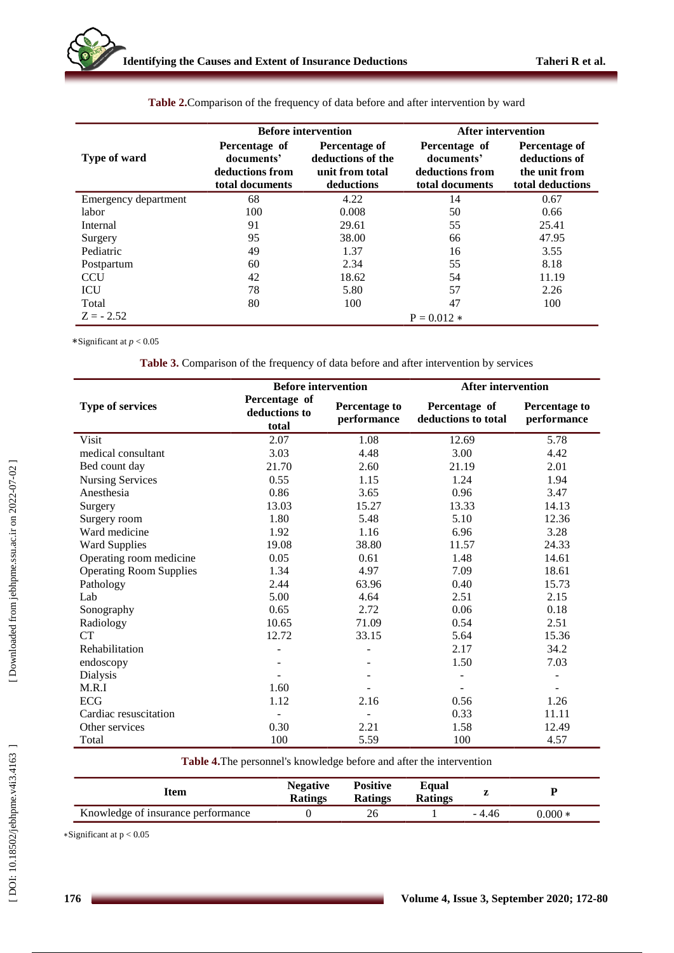|                      |                                                                   | <b>Before intervention</b>                                          | After intervention                                                |                                                                     |  |  |
|----------------------|-------------------------------------------------------------------|---------------------------------------------------------------------|-------------------------------------------------------------------|---------------------------------------------------------------------|--|--|
| Type of ward         | Percentage of<br>documents'<br>deductions from<br>total documents | Percentage of<br>deductions of the<br>unit from total<br>deductions | Percentage of<br>documents'<br>deductions from<br>total documents | Percentage of<br>deductions of<br>the unit from<br>total deductions |  |  |
| Emergency department | 68                                                                | 4.22                                                                | 14                                                                | 0.67                                                                |  |  |
| labor                | 100                                                               | 0.008                                                               | 50                                                                | 0.66                                                                |  |  |
| Internal             | 91                                                                | 29.61                                                               | 55                                                                | 25.41                                                               |  |  |
| Surgery              | 95                                                                | 38.00                                                               | 66                                                                | 47.95                                                               |  |  |
| Pediatric            | 49                                                                | 1.37                                                                | 16                                                                | 3.55                                                                |  |  |
| Postpartum           | 60                                                                | 2.34                                                                | 55                                                                | 8.18                                                                |  |  |
| <b>CCU</b>           | 42                                                                | 18.62                                                               | 54                                                                | 11.19                                                               |  |  |
| ICU                  | 78                                                                | 5.80                                                                | 57                                                                | 2.26                                                                |  |  |
| Total                | 80                                                                | 100                                                                 | 47                                                                | 100                                                                 |  |  |
| $Z = -2.52$          | $P = 0.012$ *                                                     |                                                                     |                                                                   |                                                                     |  |  |

**Table 2.**Comparison of the frequency of data before and after intervention by ward

∗Significant at *p* < 0 *.*05

**Table 3.** Comparison of the frequency of data before and after intervention by services

|                                | <b>Before intervention</b>              |                                     | <b>After intervention</b>            |                              |  |
|--------------------------------|-----------------------------------------|-------------------------------------|--------------------------------------|------------------------------|--|
| <b>Type of services</b>        | Percentage of<br>deductions to<br>total | <b>Percentage to</b><br>performance | Percentage of<br>deductions to total | Percentage to<br>performance |  |
| <b>Visit</b>                   | 2.07                                    | 1.08                                | 12.69                                | 5.78                         |  |
| medical consultant             | 3.03                                    | 4.48                                | 3.00                                 | 4.42                         |  |
| Bed count day                  | 21.70                                   | 2.60                                | 21.19                                | 2.01                         |  |
| <b>Nursing Services</b>        | 0.55                                    | 1.15                                | 1.24                                 | 1.94                         |  |
| Anesthesia                     | 0.86                                    | 3.65                                | 0.96                                 | 3.47                         |  |
| Surgery                        | 13.03                                   | 15.27                               | 13.33                                | 14.13                        |  |
| Surgery room                   | 1.80                                    | 5.48                                | 5.10                                 | 12.36                        |  |
| Ward medicine                  | 1.92                                    | 1.16                                | 6.96                                 | 3.28                         |  |
| <b>Ward Supplies</b>           | 19.08                                   | 38.80                               | 11.57                                | 24.33                        |  |
| Operating room medicine        | 0.05                                    | 0.61                                | 1.48                                 | 14.61                        |  |
| <b>Operating Room Supplies</b> | 1.34                                    | 4.97                                | 7.09                                 | 18.61                        |  |
| Pathology                      | 2.44                                    | 63.96                               | 0.40                                 | 15.73                        |  |
| Lab                            | 5.00                                    | 4.64                                | 2.51                                 | 2.15                         |  |
| Sonography                     | 0.65                                    | 2.72                                | 0.06                                 | 0.18                         |  |
| Radiology                      | 10.65                                   | 71.09                               | 0.54                                 | 2.51                         |  |
| <b>CT</b>                      | 12.72                                   | 33.15                               | 5.64                                 | 15.36                        |  |
| Rehabilitation                 |                                         |                                     | 2.17                                 | 34.2                         |  |
| endoscopy                      |                                         |                                     | 1.50                                 | 7.03                         |  |
| Dialysis                       |                                         |                                     |                                      | $\overline{\phantom{a}}$     |  |
| M.R.I                          | 1.60                                    |                                     |                                      |                              |  |
| ECG                            | 1.12                                    | 2.16                                | 0.56                                 | 1.26                         |  |
| Cardiac resuscitation          |                                         | $\overline{\phantom{a}}$            | 0.33                                 | 11.11                        |  |
| Other services                 | 0.30                                    | 2.21                                | 1.58                                 | 12.49                        |  |
| Total                          | 100                                     | 5.59                                | 100                                  | 4.57                         |  |

**Table 4 .**The personnel's knowledge before and after the intervention

| ltem                               | <b>Negative</b><br><b>Ratings</b> | <b>Positive</b><br><b>Ratings</b> | Equal<br><b>Ratings</b> |        |         |
|------------------------------------|-----------------------------------|-----------------------------------|-------------------------|--------|---------|
| Knowledge of insurance performance |                                   |                                   |                         | - 4.46 | 0.000 * |

∗Significant at p < 0.05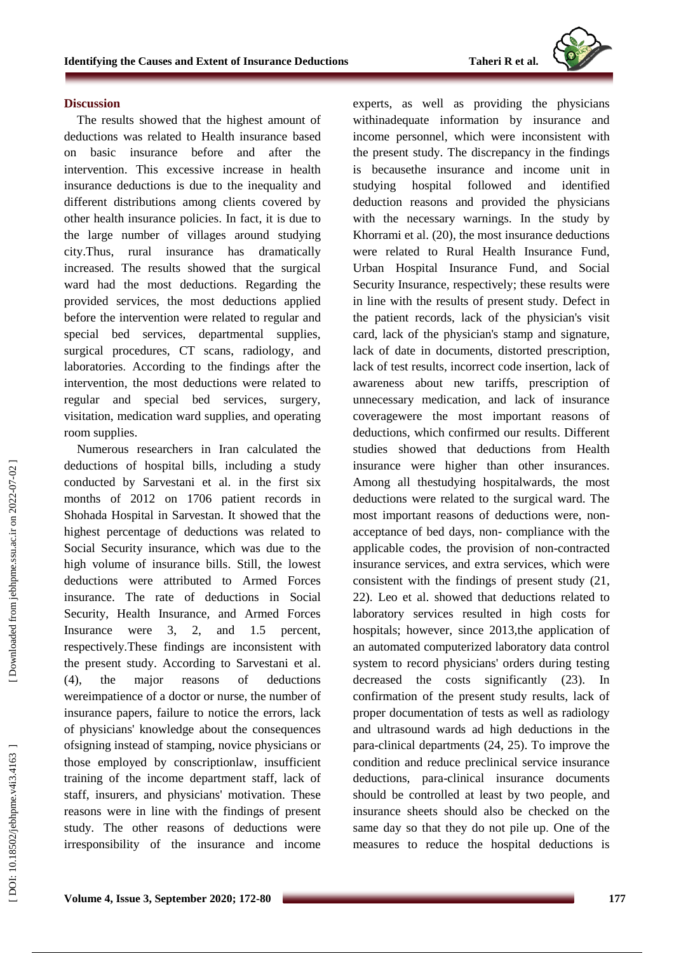

#### **Discussion**

The results showed that the highest amount of deductions was related to Health insurance based on basic insurance before and after the intervention. This excessive increase in health insurance deductions is due to the inequality and different distribution s among clients covered by other health insurance policies. In fact , it is due to the large number of villages around studying city.Thus, rural insurance has dramatically increased . The results showed that the surgical ward had the most deductions . Regarding the provided services, the most deductions applied before the intervention were relate d to regular and special bed services, departmental supplies, surgical procedures, CT scans, radiology , and laboratories . According to the findings after the intervention, the most deductions were relate d to regular and special bed services, surgery, visitation, medication ward supplies, and operating room supplies.

Numerous researchers in Iran calculated the deductions of hospital bills, including a study conducted by Sarvestani et al. in the first six months of 2012 on 1706 patient records in Shohada Hospital in Sarvestan. It showed that the highest percentage of deductions was related to Social Security insurance, which was due to the high volume of insurance bills. Still, the lowest deductions were attributed to Armed Forces insurance. The rate of deductions in Social Security, Health Insurance, and Armed Forces Insurance were 3, 2, and 1.5 percent, respectively.These findings are inconsistent with the present study . According to Sarvestani et al. (4), the major reasons of deductions wereimpatience of a doctor or nurse, the number of insurance papers, failure to notice the errors, lack of physicians' knowledge about the consequences ofsigning instead of stamping, novice physicians or those employed by conscriptionlaw, insufficient training of the income department staff, lack of staff, insurers, and physicians' motivation. These reasons were in line with the findings of present study. The other reasons of deductions were irresponsibility of the insurance and income

experts, as well as providing the physicians withinadequate information by insurance and income personnel, which were inconsistent with the present study. The discrepancy in the findings is becausethe insurance and income unit in studying hospital followed and identified deduction reasons and provided the physicians with the necessary warnings. In the study by Khorrami et al . (20), the most insurance deductions were related to Rural Health Insurance Fund, Urban Hospital Insurance Fund , and Social Security Insurance, respectively; these results were in line with the results of present study. Defect in the patient records, lack of the physician's visit card, lack of the physician's stamp and signature, lack of date in document s, distorted prescription, lack of test results, incorrect code insertion, lack of awareness about new tariffs, prescription of unnecessary medication, and lack of insurance coveragewere the most important reasons of deductions, which confirmed our results. Different studies showed that deductions from Health insurance were higher than other insurances. Among all thestudying hospitalwards, the most deductions were related to the surgical ward. The most important reasons of deductions were, non acceptance of bed days, non - compliance with the applicable codes, the provision of non -contracted insurance services, and extra service s, which were consistent with the findings of present study ( 2 1, 22). Leo et al . showed that deductions related to laboratory services resulted in high costs for hospitals; however, since 2013 ,the application of an automated computerized laboratory data control system to record physicians' orders during testing decreased the costs significantly (2 3). In confirmation of the present study results, lack of proper documentation of tests as well as radiology and ultrasound wards ad high deductions in the para -clinical departments (2 4 , 2 5). To improve the condition and reduce preclinical service insurance deductions, para -clinical insurance documents should be controlled at least by two people , and insurance sheets should also be checked on the same day so that they do not pile up . One of the measures to reduce the hospital deductions is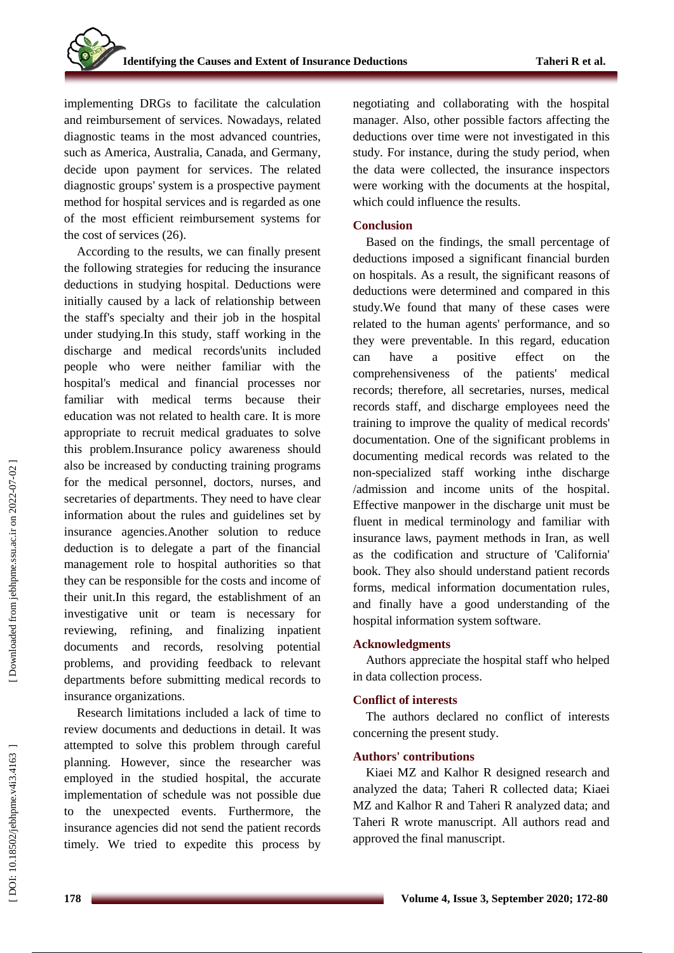implementing DRGs to facilitate the calculation and reimbursement of services. Nowadays, related diagnostic teams in the most advanced countries, such as America, Australia, Canada, and Germany , decide upon payment for services. The related diagnostic groups' system is a prospective payment method for hospital services and is regarded as one of the most efficient reimbursement systems for the cost of services (26).

According to the results, we can finally present the following strategies for reducing the insurance deductions in studying hospital . Deductions were initially caused by a lack of relationship between the staff's specialty and their job in the hospital under studying .In this study, staff working in the discharge and medical records'units included people who were neither familiar with the hospital's medical and financial processes nor familiar with medical terms because their education was not related to health care. It is more appropriate to recruit medical graduates to solve this problem.Insurance policy awareness should also be increased by conducting training programs for the medical personnel, doctors, nurses , and secretaries of departments. They need to have clear information about the rules and guidelines set by insurance agencies.Another solution to reduce deduction is to delegate a part of the financial management role to hospital authorities so that they can be responsible for the cost s and income of their unit.In this regard, the establishment of an investigative unit or team is necessary for reviewing, refining, and finalizing inpatient documents and records, resolving potential problems, and providing feedback to relevant departments before submitting medical records to insurance organizations .

Research limitations include d a lack of time to review documents and deductions in detail. It was attempted to solve this problem through careful planning. However, since the researcher was employed in the studied hospital, the accurate implementation of schedule was not possible due to the unexpected events . Furthermore, the insurance agencies did not send the patient records timely. We tried to expedite this process by

negotiating and collaborating with the hospital manager. Also , other possible factors affecting the deductions over time were not investigated in this study. For instance, during the study period , when the data were collected, the insurance inspectors were working with the documents at the hospital, which could influence the results.

#### **Conclusion**

Based on the findings, the small percentage of deductions imposed a significant financial burden on hospitals. As a result, the significant reasons of deductions were determined and compared in this study.We found that many of these cases were related to the human agents' performance , and so they were preventable. In this regard, education can have a positive effect on the comprehensiveness of the patients' medical records; therefore, all secretaries, nurses, medical records staff , and discharge employees need the training to improve the quality of medical records' documentation. One of the significant problems in documenting medical records was related to the non -specialized staff working inthe discharge /admission and income unit s of the hospital . Effective manpower in the discharge unit must be fluent in medical terminology and familiar with insurance laws, payment methods in Iran, as well as the codification and structure of 'California' book. They also should understand patient records forms, medical information documentation rules, and finally have a good understanding of the hospital information system software.

## **Acknowledgments**

Authors appreciate the hospital staff who helped in data collection process.

## **Conflict of interests**

The authors declared no conflict of interests concerning the present study.

## **Authors' contributions**

Kiaei M Z and Kalhor R designed research and analyzed the data; Taheri R collected data; Kiaei MZ and Kalhor R and Taheri R analyzed data; and Taheri R wrote manuscript. All authors read and approved the final manuscript.

DOI: 10.18502/jebhpne.v4i3.4163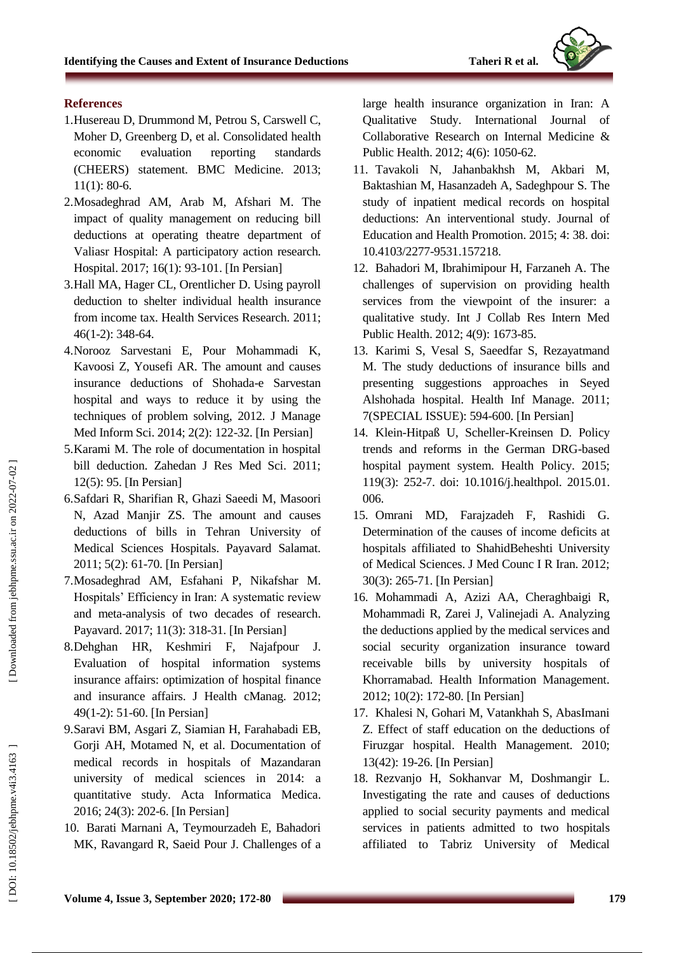

## **References**

- 1.Husereau D, Drummond M, Petrou S, Carswell C, Moher D, Greenberg D, et al. Consolidated health economic evaluation reporting standards (CHEERS) statement. BMC Medicine. 2013; 11(1): 80 -6.
- 2 .Mosadeghrad AM, Arab M, Afshari M. The impact of quality management on reducing bill deductions at operating theatre department of Valiasr Hospital: A participatory action research. Hospital. 2017; 16(1): 93 -101. [In Persian]
- 3 .Hall MA, Hager CL, Orentlicher D. Using payroll deduction to shelter individual health insurance from income tax. Health Services Research. 2011; 46(1 -2): 348 -64.
- 4 .Norooz Sarvestani E, Pour Mohammadi K, Kavoosi Z, Yousefi AR. The amount and causes insurance deductions of Shohada -e Sarvestan hospital and ways to reduce it by using the techniques of problem solving, 2012. J Manage Med Inform Sci. 2014; 2(2): 122 -32. [In Persian]
- 5 .Karami M. The role of documentation in hospital bill deduction. Zahedan J Res Med Sci. 2011; 12(5): 95. [In Persian]
- 6 .Safdari R, Sharifian R, Ghazi Saeedi M, Masoori N, Azad Manjir ZS. The amount and causes deductions of bills in Tehran University of Medical Sciences Hospitals. Payavard Salamat. 2011; 5(2): 61 -70. [In Persian]
- 7 .Mosadeghrad AM, Esfahani P, Nikafshar M. Hospitals' Efficiency in Iran: A systematic review and meta -analysis of two decades of research. Payavard. 2017; 11(3): 318 -31. [In Persian]
- 8 .Dehghan HR, Keshmiri F, Najafpour J. Evaluation of hospital information systems insurance affairs: optimization of hospital finance and insurance affairs. J Health cManag. 2012; 49(1 -2): 51 -60. [In Persian]
- 9 .Saravi BM, Asgari Z, Siamian H, Farahabadi EB, Gorji AH, Motamed N, et al. Documentation of medical records in hospitals of Mazandaran university of medical sciences in 2014: a quantitative study. Acta Informatica Medica. 2016; 24(3): 202 -6. [In Persian]
- 10 . Barati Marnani A, Teymourzadeh E, Bahadori MK, Ravangard R, Saeid Pour J. Challenges of a

large health insurance organization in Iran: A Qualitative Study. International Journal of Collaborative Research on Internal Medicine & Public Health. 2012; 4(6): 1050 -62.

- 11 . Tavakoli N, Jahanbakhsh M, Akbari M, Baktashian M, Hasanzadeh A, Sadeghpour S. The study of inpatient medical records on hospital deductions: An interventional study. Journal of Education and Health Promotion. 2015; 4: 38. doi: 10.4103/2277 -9531.157218.
- 12 . Bahadori M, Ibrahimipour H, Farzaneh A. The challenges of supervision on providing health services from the viewpoint of the insurer: a qualitative study. Int J Collab Res Intern Med Public Health. 2012; 4(9): 1673 -85.
- 13 . Karimi S, Vesal S, Saeedfar S, Rezayatmand M. The study deductions of insurance bills and presenting suggestions approaches in Seyed Alshohada hospital. Health Inf Manage. 2011; 7(SPECIAL ISSUE): 594 -600. [In Persian]
- 14 . Klein -Hitpaß U, Scheller -Kreinsen D. Policy trends and reforms in the German DRG -based hospital payment system. Health Policy. 2015; 119(3): 252 -7. doi: 10.1016/j.healthpol. 2015.01. 006.
- 15 . Omrani MD, Farajzadeh F, Rashidi G. Determination of the causes of income deficits at hospitals affiliated to ShahidBeheshti University of Medical Sciences. J Med Counc I R Iran. 2012; 30(3): 265 -71. [In Persian]
- 16 . Mohammadi A, Azizi AA, Cheraghbaigi R, Mohammadi R, Zarei J, Valinejadi A. Analyzing the deductions applied by the medical services and social security organization insurance toward receivable bills by university hospitals of Khorramabad. Health Information Management. 2012; 10(2): 172 -80. [In Persian]
- 17 . Khalesi N, Gohari M, Vatankhah S, AbasImani Z. Effect of staff education on the deductions of Firuzgar hospital. Health Management. 2010; 13(42): 19 -26. [In Persian]
- 18 . Rezvanjo H, Sokhanvar M, Doshmangir L. Investigating the rate and causes of deductions applied to social security payments and medical services in patients admitted to two hospitals affiliated to Tabriz University of Medical